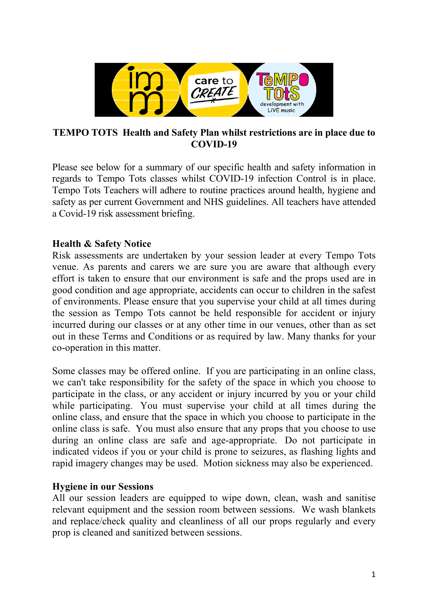

### **TEMPO TOTS Health and Safety Plan whilst restrictions are in place due to COVID-19**

Please see below for a summary of our specific health and safety information in regards to Tempo Tots classes whilst COVID-19 infection Control is in place. Tempo Tots Teachers will adhere to routine practices around health, hygiene and safety as per current Government and NHS guidelines. All teachers have attended a Covid-19 risk assessment briefing.

# **Health & Safety Notice**

Risk assessments are undertaken by your session leader at every Tempo Tots venue. As parents and carers we are sure you are aware that although every effort is taken to ensure that our environment is safe and the props used are in good condition and age appropriate, accidents can occur to children in the safest of environments. Please ensure that you supervise your child at all times during the session as Tempo Tots cannot be held responsible for accident or injury incurred during our classes or at any other time in our venues, other than as set out in these Terms and Conditions or as required by law. Many thanks for your co-operation in this matter.

Some classes may be offered online. If you are participating in an online class, we can't take responsibility for the safety of the space in which you choose to participate in the class, or any accident or injury incurred by you or your child while participating. You must supervise your child at all times during the online class, and ensure that the space in which you choose to participate in the online class is safe. You must also ensure that any props that you choose to use during an online class are safe and age-appropriate. Do not participate in indicated videos if you or your child is prone to seizures, as flashing lights and rapid imagery changes may be used. Motion sickness may also be experienced.

# **Hygiene in our Sessions**

All our session leaders are equipped to wipe down, clean, wash and sanitise relevant equipment and the session room between sessions. We wash blankets and replace/check quality and cleanliness of all our props regularly and every prop is cleaned and sanitized between sessions.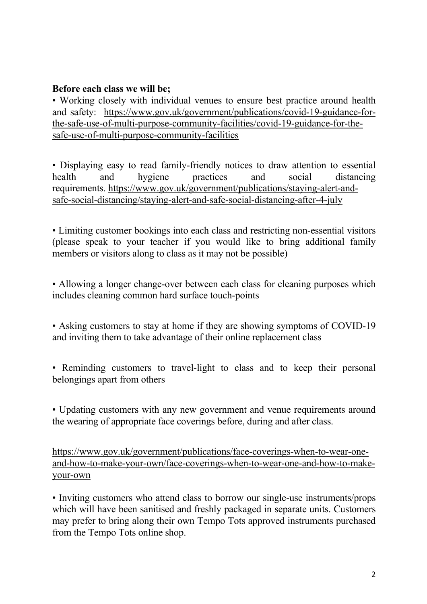### **Before each class we will be;**

• Working closely with individual venues to ensure best practice around health and safety: https://www.gov.uk/government/publications/covid-19-guidance-forthe-safe-use-of-multi-purpose-community-facilities/covid-19-guidance-for-thesafe-use-of-multi-purpose-community-facilities

• Displaying easy to read family-friendly notices to draw attention to essential health and hygiene practices and social distancing requirements. https://www.gov.uk/government/publications/staying-alert-andsafe-social-distancing/staying-alert-and-safe-social-distancing-after-4-july

• Limiting customer bookings into each class and restricting non-essential visitors (please speak to your teacher if you would like to bring additional family members or visitors along to class as it may not be possible)

• Allowing a longer change-over between each class for cleaning purposes which includes cleaning common hard surface touch-points

• Asking customers to stay at home if they are showing symptoms of COVID-19 and inviting them to take advantage of their online replacement class

• Reminding customers to travel-light to class and to keep their personal belongings apart from others

• Updating customers with any new government and venue requirements around the wearing of appropriate face coverings before, during and after class.

https://www.gov.uk/government/publications/face-coverings-when-to-wear-oneand-how-to-make-your-own/face-coverings-when-to-wear-one-and-how-to-makeyour-own

• Inviting customers who attend class to borrow our single-use instruments/props which will have been sanitised and freshly packaged in separate units. Customers may prefer to bring along their own Tempo Tots approved instruments purchased from the Tempo Tots online shop.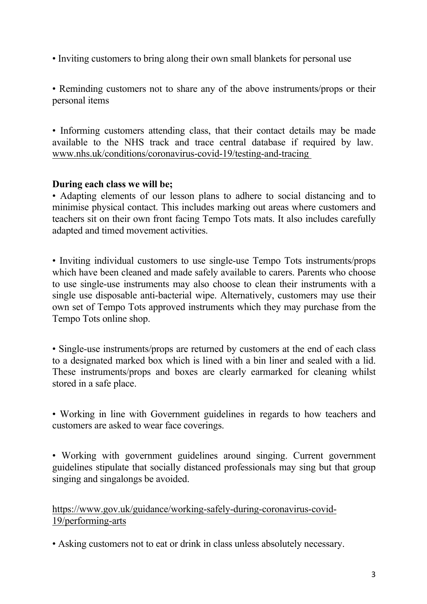• Inviting customers to bring along their own small blankets for personal use

• Reminding customers not to share any of the above instruments/props or their personal items

• Informing customers attending class, that their contact details may be made available to the NHS track and trace central database if required by law. www.nhs.uk/conditions/coronavirus-covid-19/testing-and-tracing

### **During each class we will be;**

• Adapting elements of our lesson plans to adhere to social distancing and to minimise physical contact. This includes marking out areas where customers and teachers sit on their own front facing Tempo Tots mats. It also includes carefully adapted and timed movement activities.

• Inviting individual customers to use single-use Tempo Tots instruments/props which have been cleaned and made safely available to carers. Parents who choose to use single-use instruments may also choose to clean their instruments with a single use disposable anti-bacterial wipe. Alternatively, customers may use their own set of Tempo Tots approved instruments which they may purchase from the Tempo Tots online shop.

• Single-use instruments/props are returned by customers at the end of each class to a designated marked box which is lined with a bin liner and sealed with a lid. These instruments/props and boxes are clearly earmarked for cleaning whilst stored in a safe place.

• Working in line with Government guidelines in regards to how teachers and customers are asked to wear face coverings.

• Working with government guidelines around singing. Current government guidelines stipulate that socially distanced professionals may sing but that group singing and singalongs be avoided.

https://www.gov.uk/guidance/working-safely-during-coronavirus-covid-19/performing-arts

• Asking customers not to eat or drink in class unless absolutely necessary.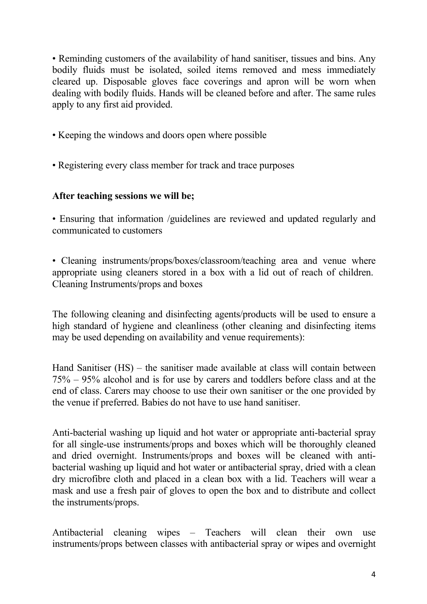• Reminding customers of the availability of hand sanitiser, tissues and bins. Any bodily fluids must be isolated, soiled items removed and mess immediately cleared up. Disposable gloves face coverings and apron will be worn when dealing with bodily fluids. Hands will be cleaned before and after. The same rules apply to any first aid provided.

- Keeping the windows and doors open where possible
- Registering every class member for track and trace purposes

### **After teaching sessions we will be;**

• Ensuring that information /guidelines are reviewed and updated regularly and communicated to customers

• Cleaning instruments/props/boxes/classroom/teaching area and venue where appropriate using cleaners stored in a box with a lid out of reach of children. Cleaning Instruments/props and boxes

The following cleaning and disinfecting agents/products will be used to ensure a high standard of hygiene and cleanliness (other cleaning and disinfecting items may be used depending on availability and venue requirements):

Hand Sanitiser (HS) – the sanitiser made available at class will contain between 75% – 95% alcohol and is for use by carers and toddlers before class and at the end of class. Carers may choose to use their own sanitiser or the one provided by the venue if preferred. Babies do not have to use hand sanitiser.

Anti-bacterial washing up liquid and hot water or appropriate anti-bacterial spray for all single-use instruments/props and boxes which will be thoroughly cleaned and dried overnight. Instruments/props and boxes will be cleaned with antibacterial washing up liquid and hot water or antibacterial spray, dried with a clean dry microfibre cloth and placed in a clean box with a lid. Teachers will wear a mask and use a fresh pair of gloves to open the box and to distribute and collect the instruments/props.

Antibacterial cleaning wipes – Teachers will clean their own use instruments/props between classes with antibacterial spray or wipes and overnight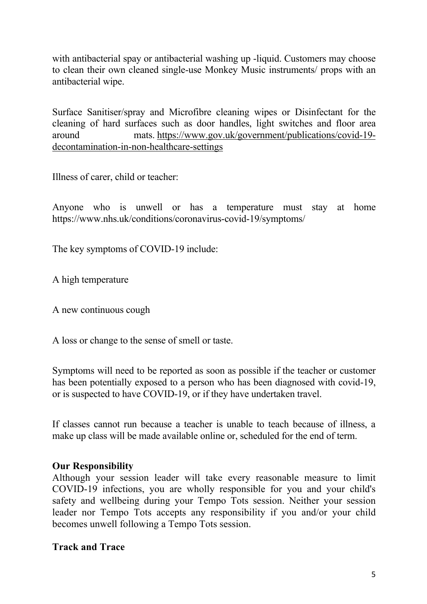with antibacterial spay or antibacterial washing up -liquid. Customers may choose to clean their own cleaned single-use Monkey Music instruments/ props with an antibacterial wipe.

Surface Sanitiser/spray and Microfibre cleaning wipes or Disinfectant for the cleaning of hard surfaces such as door handles, light switches and floor area around mats. https://www.gov.uk/government/publications/covid-19 decontamination-in-non-healthcare-settings

Illness of carer, child or teacher:

Anyone who is unwell or has a temperature must stay at home https://www.nhs.uk/conditions/coronavirus-covid-19/symptoms/

The key symptoms of COVID-19 include:

A high temperature

A new continuous cough

A loss or change to the sense of smell or taste.

Symptoms will need to be reported as soon as possible if the teacher or customer has been potentially exposed to a person who has been diagnosed with covid-19, or is suspected to have COVID-19, or if they have undertaken travel.

If classes cannot run because a teacher is unable to teach because of illness, a make up class will be made available online or, scheduled for the end of term.

### **Our Responsibility**

Although your session leader will take every reasonable measure to limit COVID-19 infections, you are wholly responsible for you and your child's safety and wellbeing during your Tempo Tots session. Neither your session leader nor Tempo Tots accepts any responsibility if you and/or your child becomes unwell following a Tempo Tots session.

### **Track and Trace**